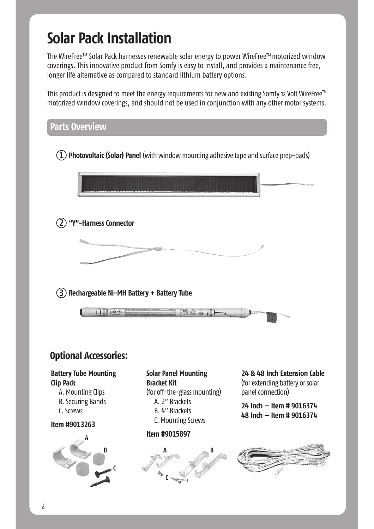# **Solar Pack Installation**

The WireFree™ Solar Pack harnesses renewable solar energy to power WireFree™ motorized window coverings. This innovative product from Somfy is easy to install, and provides a maintenance free, longer life alternative as compared to standard lithium battery options.

This product is designed to meet the energy requirements for new and existing Somfy 12 Volt WireFree<sup>™</sup> motorized window coverings, and should not be used in conjunction with any other motor systems.

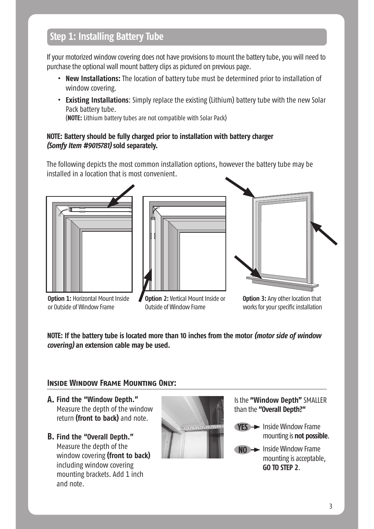## **Step 1: Installing Battery Tube**

If your motorized window covering does not have provisions to mount the battery tube, you will need to purchase the optional wall mount battery clips as pictured on previous page.

- **t New Installations:** The location of battery tube must be determined prior to installation of window covering.
- **t Existing Installations**: Simply replace the existing (Lithium) battery tube with the new Solar Pack battery tube.

(**NOTE:** Lithium battery tubes are not compatible with Solar Pack)

#### **NOTE: Battery should be fully charged prior to installation with battery charger** *(Somfy Item #9015781)* **sold separately.**

The following depicts the most common installation options, however the battery tube may be installed in a location that is most convenient.



**Option 1: Horizontal Mount Inside** or Outside of Window Frame





**Option 2:** Vertical Mount Inside or Outside of Window Frame

**Option 3:** Any other location that works for your specific installation

**NOTE: If the battery tube is located more than 10 inches from the motor** *(motor side of window covering)* **an extension cable may be used.**

#### **Inside Window Frame Mounting Only:**

- **Find the "Window Depth." A.** Measure the depth of the window return **(front to back)** and note.
- **Find the "Overall Depth." B.**Measure the depth of the window covering **(front to back)** including window covering mounting brackets. Add 1 inch and note.



- Is the **"Window Depth"** SMALLER than the **"Overall Depth?"**
	- **YES**  $\rightarrow$  Inside Window Frame mounting is **not possible**.
	- **NO**  $\rightarrow$  Inside Window Frame mounting is acceptable, **GO TO STEP 2**.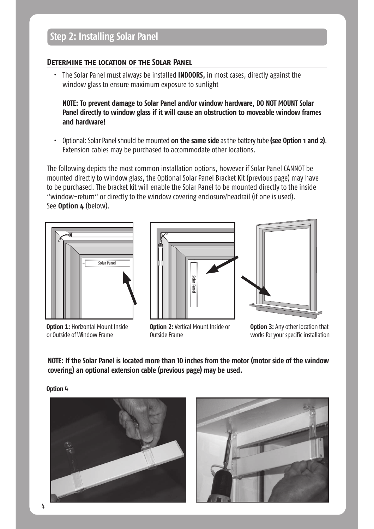#### **Determine the location of the Solar Panel**

t The Solar Panel must always be installed **INDOORS,** in most cases, directly against the window glass to ensure maximum exposure to sunlight

**NOTE: To prevent damage to Solar Panel and/or window hardware, DO NOT MOUNT Solar Panel directly to window glass if it will cause an obstruction to moveable window frames and hardware!** 

t Optional: Solar Panel should be mounted **on the same side** as the battery tube **(see Option 1 and 2)**. Extension cables may be purchased to accommodate other locations.

The following depicts the most common installation options, however if Solar Panel CANNOT be mounted directly to window glass, the Optional Solar Panel Bracket Kit (previous page) may have to be purchased. The bracket kit will enable the Solar Panel to be mounted directly to the inside "window-return" or directly to the window covering enclosure/headrail (if one is used). See **Option 4** (below).



**Option 1: Horizontal Mount Inside** or Outside of Window Frame





**Option 2:** Vertical Mount Inside or

**Option 3:** Any other location that works for your specific installation

**NOTE: If the Solar Panel is located more than 10 inches from the motor (motor side of the window covering) an optional extension cable (previous page) may be used.** 

Outside Frame

**Option 4**



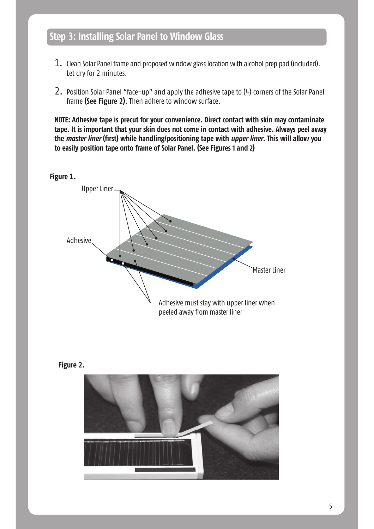### **Step 3: Installing Solar Panel to Window Glass**

- 1. Clean Solar Panel frame and proposed window glass location with alcohol prep pad (included). Let dry for 2 minutes.
- 2. Position Solar Panel "face-up" and apply the adhesive tape to (4) corners of the Solar Panel frame **(See Figure 2)**. Then adhere to window surface.

**NOTE: Adhesive tape is precut for your convenience. Direct contact with skin may contaminate tape. It is important that your skin does not come in contact with adhesive. Always peel away the** *master liner* **(first) while handling/positioning tape with** *upper liner***. This will allow you to easily position tape onto frame of Solar Panel. (See Figures 1 and 2)**